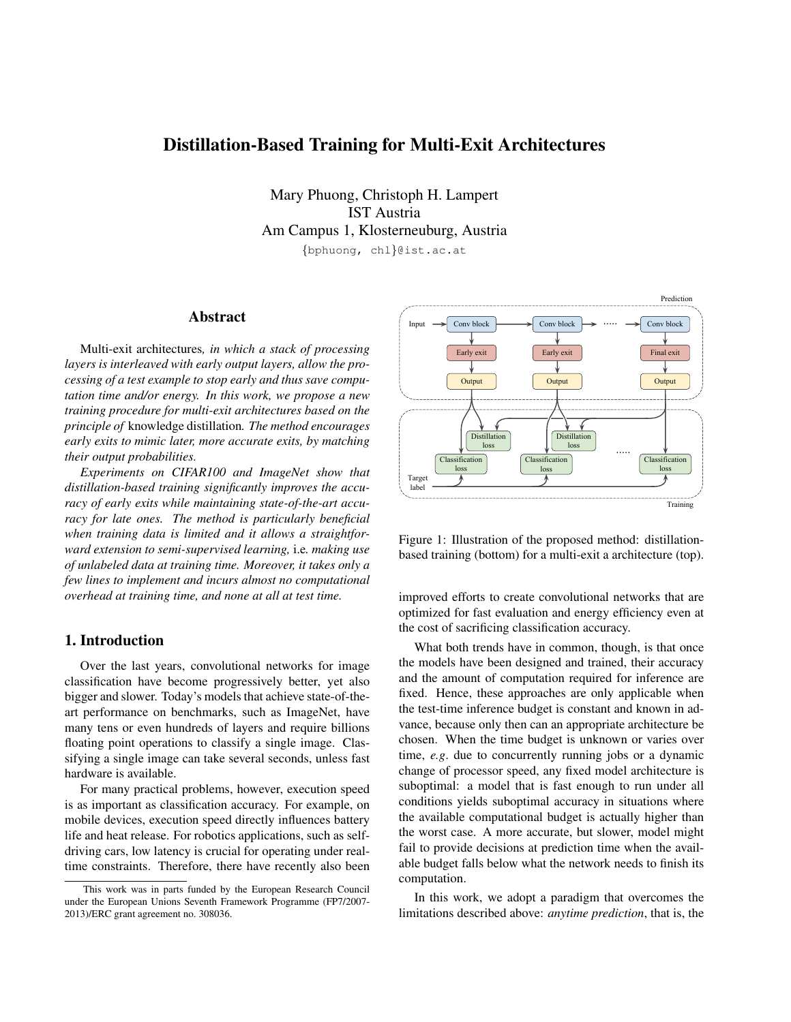# Distillation-Based Training for Multi-Exit Architectures

Mary Phuong, Christoph H. Lampert IST Austria Am Campus 1, Klosterneuburg, Austria {bphuong, chl}@ist.ac.at

#### Abstract

Multi-exit architectures*, in which a stack of processing layers is interleaved with early output layers, allow the processing of a test example to stop early and thus save computation time and/or energy. In this work, we propose a new training procedure for multi-exit architectures based on the principle of* knowledge distillation*. The method encourages early exits to mimic later, more accurate exits, by matching their output probabilities.*

*Experiments on CIFAR100 and ImageNet show that distillation-based training significantly improves the accuracy of early exits while maintaining state-of-the-art accuracy for late ones. The method is particularly beneficial when training data is limited and it allows a straightforward extension to semi-supervised learning,* i.e*. making use of unlabeled data at training time. Moreover, it takes only a few lines to implement and incurs almost no computational overhead at training time, and none at all at test time.*

### 1. Introduction

Over the last years, convolutional networks for image classification have become progressively better, yet also bigger and slower. Today's models that achieve state-of-theart performance on benchmarks, such as ImageNet, have many tens or even hundreds of layers and require billions floating point operations to classify a single image. Classifying a single image can take several seconds, unless fast hardware is available.

For many practical problems, however, execution speed is as important as classification accuracy. For example, on mobile devices, execution speed directly influences battery life and heat release. For robotics applications, such as selfdriving cars, low latency is crucial for operating under realtime constraints. Therefore, there have recently also been

<span id="page-0-0"></span>

Figure 1: Illustration of the proposed method: distillationbased training (bottom) for a multi-exit a architecture (top).

improved efforts to create convolutional networks that are optimized for fast evaluation and energy efficiency even at the cost of sacrificing classification accuracy.

What both trends have in common, though, is that once the models have been designed and trained, their accuracy and the amount of computation required for inference are fixed. Hence, these approaches are only applicable when the test-time inference budget is constant and known in advance, because only then can an appropriate architecture be chosen. When the time budget is unknown or varies over time, *e.g*. due to concurrently running jobs or a dynamic change of processor speed, any fixed model architecture is suboptimal: a model that is fast enough to run under all conditions yields suboptimal accuracy in situations where the available computational budget is actually higher than the worst case. A more accurate, but slower, model might fail to provide decisions at prediction time when the available budget falls below what the network needs to finish its computation.

In this work, we adopt a paradigm that overcomes the limitations described above: *anytime prediction*, that is, the

This work was in parts funded by the European Research Council under the European Unions Seventh Framework Programme (FP7/2007- 2013)/ERC grant agreement no. 308036.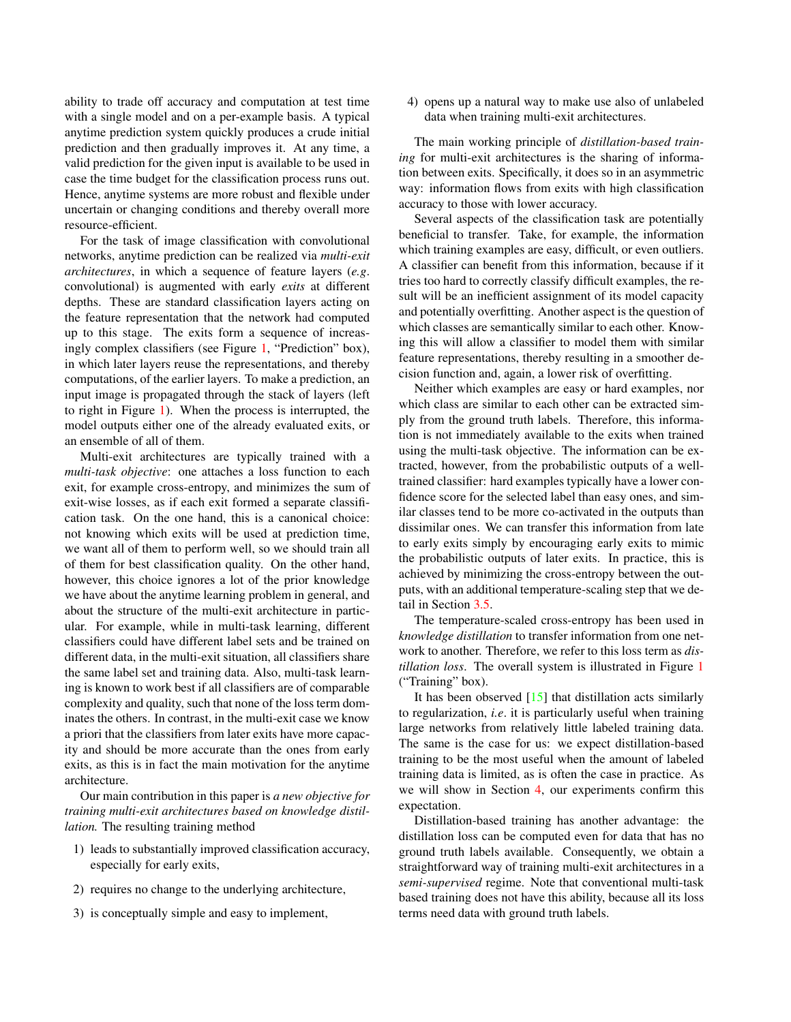<span id="page-1-0"></span>ability to trade off accuracy and computation at test time with a single model and on a per-example basis. A typical anytime prediction system quickly produces a crude initial prediction and then gradually improves it. At any time, a valid prediction for the given input is available to be used in case the time budget for the classification process runs out. Hence, anytime systems are more robust and flexible under uncertain or changing conditions and thereby overall more resource-efficient.

For the task of image classification with convolutional networks, anytime prediction can be realized via *multi-exit architectures*, in which a sequence of feature layers (*e.g*. convolutional) is augmented with early *exits* at different depths. These are standard classification layers acting on the feature representation that the network had computed up to this stage. The exits form a sequence of increasingly complex classifiers (see Figure [1,](#page-0-0) "Prediction" box), in which later layers reuse the representations, and thereby computations, of the earlier layers. To make a prediction, an input image is propagated through the stack of layers (left to right in Figure [1\)](#page-0-0). When the process is interrupted, the model outputs either one of the already evaluated exits, or an ensemble of all of them.

Multi-exit architectures are typically trained with a *multi-task objective*: one attaches a loss function to each exit, for example cross-entropy, and minimizes the sum of exit-wise losses, as if each exit formed a separate classification task. On the one hand, this is a canonical choice: not knowing which exits will be used at prediction time, we want all of them to perform well, so we should train all of them for best classification quality. On the other hand, however, this choice ignores a lot of the prior knowledge we have about the anytime learning problem in general, and about the structure of the multi-exit architecture in particular. For example, while in multi-task learning, different classifiers could have different label sets and be trained on different data, in the multi-exit situation, all classifiers share the same label set and training data. Also, multi-task learning is known to work best if all classifiers are of comparable complexity and quality, such that none of the loss term dominates the others. In contrast, in the multi-exit case we know a priori that the classifiers from later exits have more capacity and should be more accurate than the ones from early exits, as this is in fact the main motivation for the anytime architecture.

Our main contribution in this paper is *a new objective for training multi-exit architectures based on knowledge distillation.* The resulting training method

- 1) leads to substantially improved classification accuracy, especially for early exits,
- 2) requires no change to the underlying architecture,
- 3) is conceptually simple and easy to implement,

4) opens up a natural way to make use also of unlabeled data when training multi-exit architectures.

The main working principle of *distillation-based training* for multi-exit architectures is the sharing of information between exits. Specifically, it does so in an asymmetric way: information flows from exits with high classification accuracy to those with lower accuracy.

Several aspects of the classification task are potentially beneficial to transfer. Take, for example, the information which training examples are easy, difficult, or even outliers. A classifier can benefit from this information, because if it tries too hard to correctly classify difficult examples, the result will be an inefficient assignment of its model capacity and potentially overfitting. Another aspect is the question of which classes are semantically similar to each other. Knowing this will allow a classifier to model them with similar feature representations, thereby resulting in a smoother decision function and, again, a lower risk of overfitting.

Neither which examples are easy or hard examples, nor which class are similar to each other can be extracted simply from the ground truth labels. Therefore, this information is not immediately available to the exits when trained using the multi-task objective. The information can be extracted, however, from the probabilistic outputs of a welltrained classifier: hard examples typically have a lower confidence score for the selected label than easy ones, and similar classes tend to be more co-activated in the outputs than dissimilar ones. We can transfer this information from late to early exits simply by encouraging early exits to mimic the probabilistic outputs of later exits. In practice, this is achieved by minimizing the cross-entropy between the outputs, with an additional temperature-scaling step that we detail in Section [3.5.](#page-4-0)

The temperature-scaled cross-entropy has been used in *knowledge distillation* to transfer information from one network to another. Therefore, we refer to this loss term as *distillation loss*. The overall system is illustrated in Figure [1](#page-0-0) ("Training" box).

It has been observed [\[15\]](#page-8-0) that distillation acts similarly to regularization, *i.e*. it is particularly useful when training large networks from relatively little labeled training data. The same is the case for us: we expect distillation-based training to be the most useful when the amount of labeled training data is limited, as is often the case in practice. As we will show in Section [4,](#page-4-1) our experiments confirm this expectation.

Distillation-based training has another advantage: the distillation loss can be computed even for data that has no ground truth labels available. Consequently, we obtain a straightforward way of training multi-exit architectures in a *semi-supervised* regime. Note that conventional multi-task based training does not have this ability, because all its loss terms need data with ground truth labels.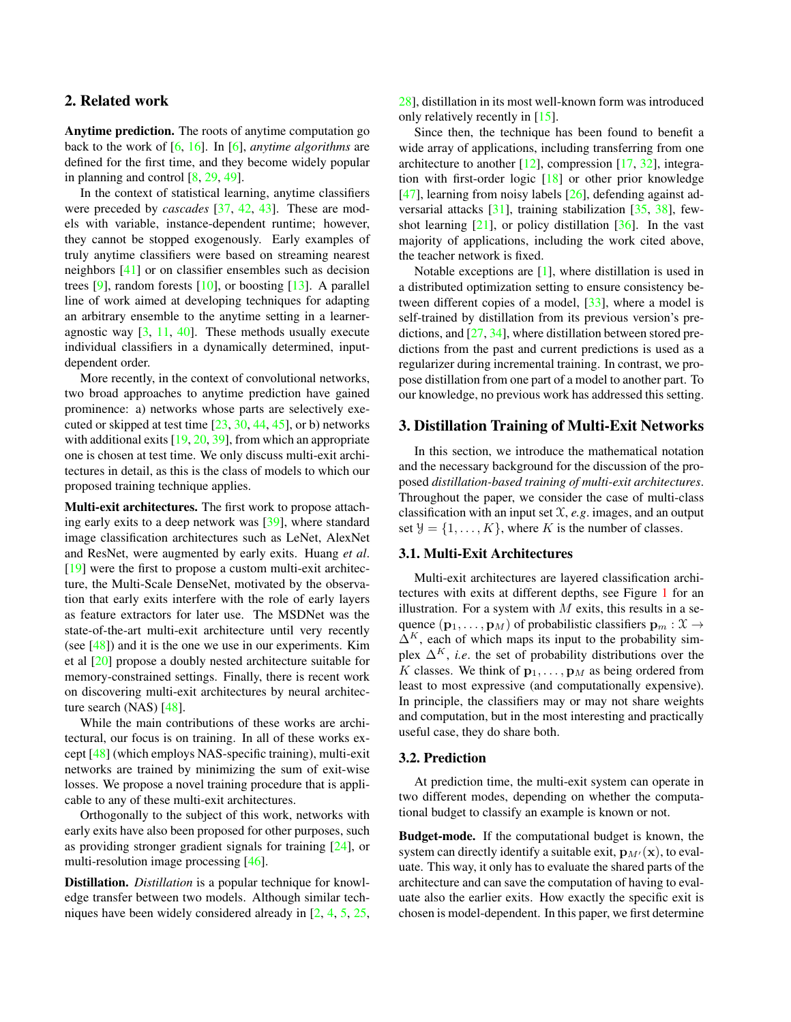# <span id="page-2-1"></span>2. Related work

Anytime prediction. The roots of anytime computation go back to the work of [\[6,](#page-8-1) [16\]](#page-8-2). In [\[6\]](#page-8-1), *anytime algorithms* are defined for the first time, and they become widely popular in planning and control [\[8,](#page-8-3) [29,](#page-8-4) [49\]](#page-9-0).

In the context of statistical learning, anytime classifiers were preceded by *cascades* [\[37,](#page-9-1) [42,](#page-9-2) [43\]](#page-9-3). These are models with variable, instance-dependent runtime; however, they cannot be stopped exogenously. Early examples of truly anytime classifiers were based on streaming nearest neighbors [\[41\]](#page-9-4) or on classifier ensembles such as decision trees [\[9\]](#page-8-5), random forests  $[10]$ , or boosting  $[13]$ . A parallel line of work aimed at developing techniques for adapting an arbitrary ensemble to the anytime setting in a learneragnostic way  $[3, 11, 40]$  $[3, 11, 40]$  $[3, 11, 40]$  $[3, 11, 40]$  $[3, 11, 40]$ . These methods usually execute individual classifiers in a dynamically determined, inputdependent order.

More recently, in the context of convolutional networks, two broad approaches to anytime prediction have gained prominence: a) networks whose parts are selectively executed or skipped at test time  $[23, 30, 44, 45]$  $[23, 30, 44, 45]$  $[23, 30, 44, 45]$  $[23, 30, 44, 45]$  $[23, 30, 44, 45]$  $[23, 30, 44, 45]$  $[23, 30, 44, 45]$ , or b) networks with additional exits [\[19,](#page-8-12) [20,](#page-8-13) [39\]](#page-9-8), from which an appropriate one is chosen at test time. We only discuss multi-exit architectures in detail, as this is the class of models to which our proposed training technique applies.

Multi-exit architectures. The first work to propose attaching early exits to a deep network was [\[39\]](#page-9-8), where standard image classification architectures such as LeNet, AlexNet and ResNet, were augmented by early exits. Huang *et al*. [\[19\]](#page-8-12) were the first to propose a custom multi-exit architecture, the Multi-Scale DenseNet, motivated by the observation that early exits interfere with the role of early layers as feature extractors for later use. The MSDNet was the state-of-the-art multi-exit architecture until very recently (see  $[48]$ ) and it is the one we use in our experiments. Kim et al [\[20\]](#page-8-13) propose a doubly nested architecture suitable for memory-constrained settings. Finally, there is recent work on discovering multi-exit architectures by neural architecture search (NAS) [\[48\]](#page-9-9).

While the main contributions of these works are architectural, our focus is on training. In all of these works except [\[48\]](#page-9-9) (which employs NAS-specific training), multi-exit networks are trained by minimizing the sum of exit-wise losses. We propose a novel training procedure that is applicable to any of these multi-exit architectures.

Orthogonally to the subject of this work, networks with early exits have also been proposed for other purposes, such as providing stronger gradient signals for training [\[24\]](#page-8-14), or multi-resolution image processing [\[46\]](#page-9-10).

Distillation. *Distillation* is a popular technique for knowledge transfer between two models. Although similar techniques have been widely considered already in [\[2,](#page-8-15) [4,](#page-8-16) [5,](#page-8-17) [25,](#page-8-18) [28\]](#page-8-19), distillation in its most well-known form was introduced only relatively recently in [\[15\]](#page-8-0).

Since then, the technique has been found to benefit a wide array of applications, including transferring from one architecture to another  $[12]$ , compression  $[17, 32]$  $[17, 32]$  $[17, 32]$ , integration with first-order logic [\[18\]](#page-8-22) or other prior knowledge [\[47\]](#page-9-12), learning from noisy labels  $[26]$ , defending against adversarial attacks [\[31\]](#page-8-24), training stabilization [\[35,](#page-9-13) [38\]](#page-9-14), fewshot learning  $[21]$ , or policy distillation  $[36]$ . In the vast majority of applications, including the work cited above, the teacher network is fixed.

Notable exceptions are [\[1\]](#page-8-26), where distillation is used in a distributed optimization setting to ensure consistency between different copies of a model, [\[33\]](#page-9-16), where a model is self-trained by distillation from its previous version's predictions, and [\[27,](#page-8-27) [34\]](#page-9-17), where distillation between stored predictions from the past and current predictions is used as a regularizer during incremental training. In contrast, we propose distillation from one part of a model to another part. To our knowledge, no previous work has addressed this setting.

# 3. Distillation Training of Multi-Exit Networks

In this section, we introduce the mathematical notation and the necessary background for the discussion of the proposed *distillation-based training of multi-exit architectures*. Throughout the paper, we consider the case of multi-class classification with an input set X, *e.g*. images, and an output set  $\mathcal{Y} = \{1, \ldots, K\}$ , where K is the number of classes.

# 3.1. Multi-Exit Architectures

Multi-exit architectures are layered classification architectures with exits at different depths, see Figure [1](#page-0-0) for an illustration. For a system with  $M$  exits, this results in a sequence  $(\mathbf{p}_1, \dots, \mathbf{p}_M)$  of probabilistic classifiers  $\mathbf{p}_m : \mathcal{X} \to$  $\Delta^K$ , each of which maps its input to the probability simplex  $\Delta^K$ , *i.e.* the set of probability distributions over the K classes. We think of  $\mathbf{p}_1, \dots, \mathbf{p}_M$  as being ordered from least to most expressive (and computationally expensive). In principle, the classifiers may or may not share weights and computation, but in the most interesting and practically useful case, they do share both.

#### <span id="page-2-0"></span>3.2. Prediction

At prediction time, the multi-exit system can operate in two different modes, depending on whether the computational budget to classify an example is known or not.

Budget-mode. If the computational budget is known, the system can directly identify a suitable exit,  $\mathbf{p}_{M'}(\mathbf{x})$ , to evaluate. This way, it only has to evaluate the shared parts of the architecture and can save the computation of having to evaluate also the earlier exits. How exactly the specific exit is chosen is model-dependent. In this paper, we first determine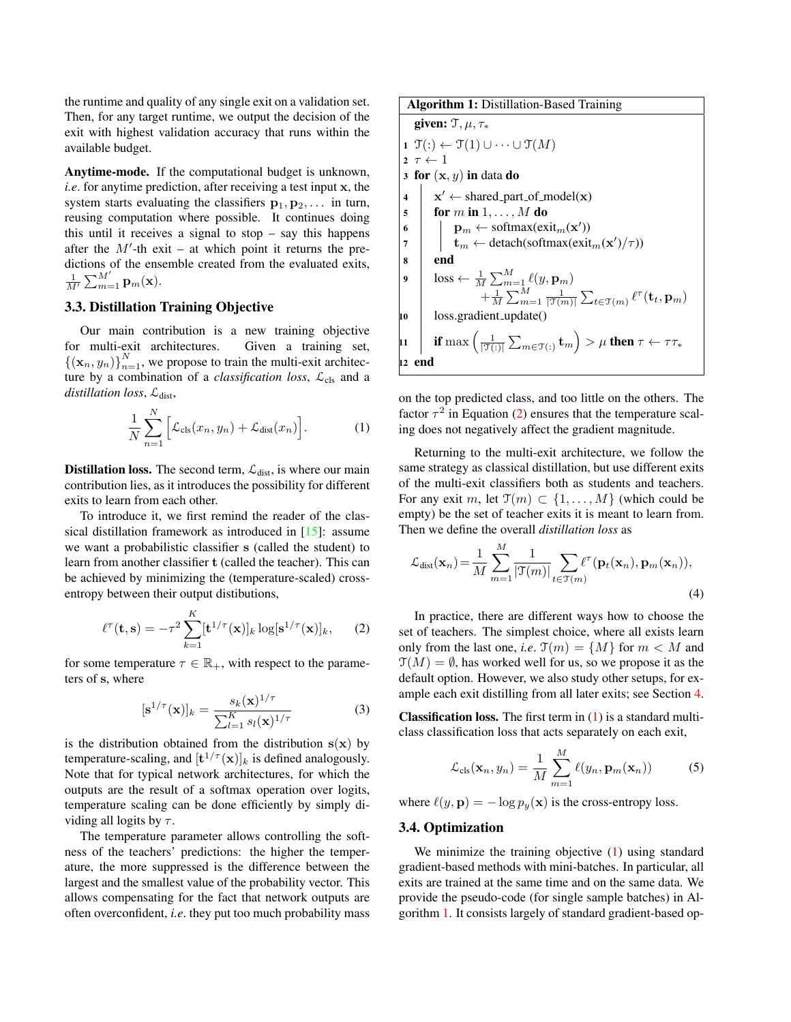<span id="page-3-5"></span>the runtime and quality of any single exit on a validation set. Then, for any target runtime, we output the decision of the exit with highest validation accuracy that runs within the available budget.

Anytime-mode. If the computational budget is unknown, *i.e*. for anytime prediction, after receiving a test input x, the system starts evaluating the classifiers  $p_1, p_2, \ldots$  in turn, reusing computation where possible. It continues doing this until it receives a signal to stop  $-$  say this happens after the  $M'$ -th exit – at which point it returns the predictions of the ensemble created from the evaluated exits,  $\frac{1}{M'}\sum_{m=1}^{M'} \mathbf{p}_m(\mathbf{x}).$ 

#### 3.3. Distillation Training Objective

Our main contribution is a new training objective for multi-exit architectures. Given a training set,  ${({\mathbf{x}}_n, y_n)}_{n=1}^N$ , we propose to train the multi-exit architecture by a combination of a *classification loss*,  $\mathcal{L}_{cls}$  and a distillation loss,  $\mathcal{L}_{dist}$ ,

$$
\frac{1}{N} \sum_{n=1}^{N} \left[ \mathcal{L}_{\text{cls}}(x_n, y_n) + \mathcal{L}_{\text{dist}}(x_n) \right]. \tag{1}
$$

**Distillation loss.** The second term,  $\mathcal{L}_{dist}$ , is where our main contribution lies, as it introduces the possibility for different exits to learn from each other.

To introduce it, we first remind the reader of the classical distillation framework as introduced in [\[15\]](#page-8-0): assume we want a probabilistic classifier s (called the student) to learn from another classifier t (called the teacher). This can be achieved by minimizing the (temperature-scaled) crossentropy between their output distibutions,

<span id="page-3-0"></span>
$$
\ell^{\tau}(\mathbf{t}, \mathbf{s}) = -\tau^2 \sum_{k=1}^{K} [\mathbf{t}^{1/\tau}(\mathbf{x})]_k \log[\mathbf{s}^{1/\tau}(\mathbf{x})]_k, \qquad (2)
$$

for some temperature  $\tau \in \mathbb{R}_+$ , with respect to the parameters of s, where

$$
[\mathbf{s}^{1/\tau}(\mathbf{x})]_k = \frac{s_k(\mathbf{x})^{1/\tau}}{\sum_{l=1}^K s_l(\mathbf{x})^{1/\tau}}
$$
(3)

is the distribution obtained from the distribution  $s(x)$  by temperature-scaling, and  $[\mathbf{t}^{1/\tau}(\mathbf{x})]_k$  is defined analogously. Note that for typical network architectures, for which the outputs are the result of a softmax operation over logits, temperature scaling can be done efficiently by simply dividing all logits by  $\tau$ .

The temperature parameter allows controlling the softness of the teachers' predictions: the higher the temperature, the more suppressed is the difference between the largest and the smallest value of the probability vector. This allows compensating for the fact that network outputs are often overconfident, *i.e*. they put too much probability mass

Algorithm 1: Distribution-Based Training  
\ngiven: 
$$
\mathcal{T}, \mu, \tau_*
$$
  
\n1  $\mathcal{T}(:) \leftarrow \mathcal{T}(1) \cup \cdots \cup \mathcal{T}(M)$   
\n2  $\tau \leftarrow 1$   
\n3 for  $(\mathbf{x}, y)$  in data do  
\n4  $\mid \mathbf{x}' \leftarrow \text{shared-part_of_model}(\mathbf{x})$   
\n6  $\mid \mathbf{p}_m \leftarrow \text{softmax}(\text{exit}_m(\mathbf{x}'))$   
\n7  $\mid \mathbf{t}_m \leftarrow \text{detach}(\text{softmax}(\text{exit}_m(\mathbf{x}')/\tau))$   
\n8  $\mid \text{loss} \leftarrow \frac{1}{M} \sum_{m=1}^{M} \ell(y, \mathbf{p}_m) + \frac{1}{M} \sum_{m=1}^{M} \frac{1}{|\mathcal{T}(m)|} \sum_{t \in \mathcal{T}(m)} \ell^{\tau}(\mathbf{t}_t, \mathbf{p}_m)$   
\n10  $\mid \text{loss,gradient.update}()$   
\n11  $\mid \text{if max } (\frac{1}{|\mathcal{T}(:)|} \sum_{m \in \mathcal{T}(:) } \mathbf{t}_m) > \mu \text{ then } \tau \leftarrow \tau \tau_*$   
\n12 **end**

<span id="page-3-2"></span><span id="page-3-1"></span>on the top predicted class, and too little on the others. The factor  $\tau^2$  in Equation [\(2\)](#page-3-0) ensures that the temperature scaling does not negatively affect the gradient magnitude.

Returning to the multi-exit architecture, we follow the same strategy as classical distillation, but use different exits of the multi-exit classifiers both as students and teachers. For any exit m, let  $\mathfrak{T}(m) \subset \{1, \ldots, M\}$  (which could be empty) be the set of teacher exits it is meant to learn from. Then we define the overall *distillation loss* as

<span id="page-3-3"></span>
$$
\mathcal{L}_{dist}(\mathbf{x}_n) = \frac{1}{M} \sum_{m=1}^{M} \frac{1}{|\mathcal{T}(m)|} \sum_{t \in \mathcal{T}(m)} \ell^{\tau}(\mathbf{p}_t(\mathbf{x}_n), \mathbf{p}_m(\mathbf{x}_n)),
$$
\n(4)

In practice, there are different ways how to choose the set of teachers. The simplest choice, where all exists learn only from the last one, *i.e.*  $\mathfrak{T}(m) = \{M\}$  for  $m < M$  and  $\mathfrak{T}(M) = \emptyset$ , has worked well for us, so we propose it as the default option. However, we also study other setups, for example each exit distilling from all later exits; see Section [4.](#page-4-1)

**Classification loss.** The first term in  $(1)$  is a standard multiclass classification loss that acts separately on each exit,

<span id="page-3-4"></span>
$$
\mathcal{L}_{\text{cls}}(\mathbf{x}_n, y_n) = \frac{1}{M} \sum_{m=1}^{M} \ell(y_n, \mathbf{p}_m(\mathbf{x}_n))
$$
 (5)

where  $\ell(y, \mathbf{p}) = -\log p_y(\mathbf{x})$  is the cross-entropy loss.

#### 3.4. Optimization

We minimize the training objective [\(1\)](#page-3-1) using standard gradient-based methods with mini-batches. In particular, all exits are trained at the same time and on the same data. We provide the pseudo-code (for single sample batches) in Algorithm [1.](#page-3-2) It consists largely of standard gradient-based op-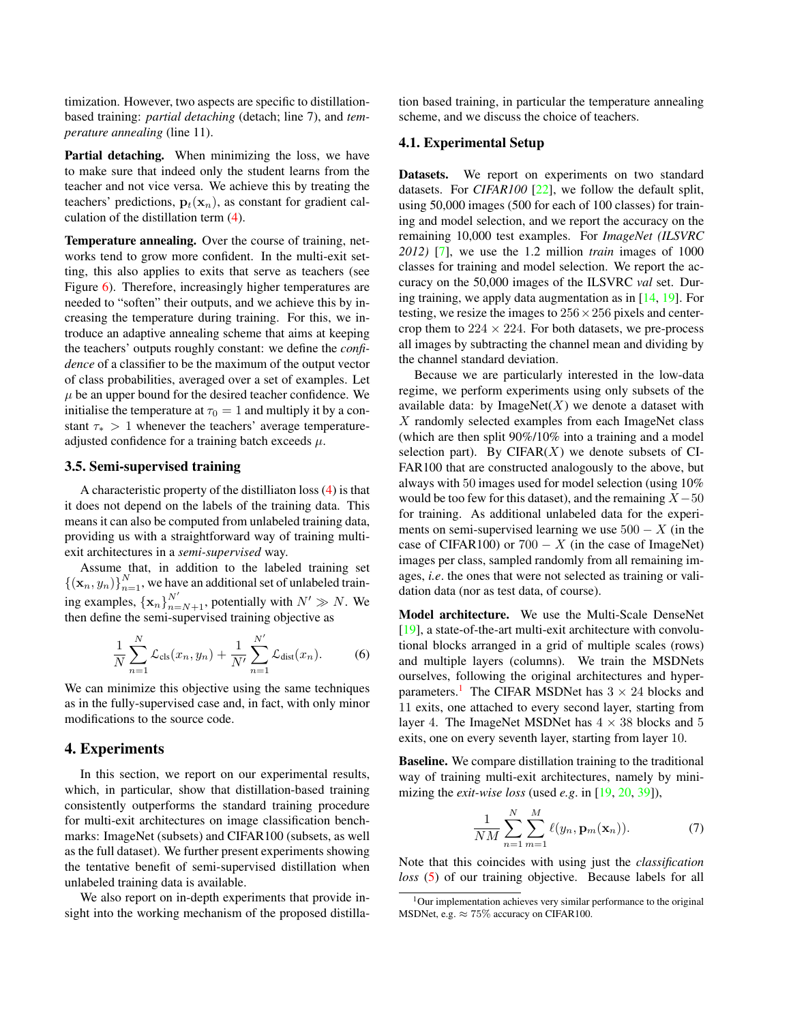<span id="page-4-5"></span>timization. However, two aspects are specific to distillationbased training: *partial detaching* (detach; line 7), and *temperature annealing* (line 11).

Partial detaching. When minimizing the loss, we have to make sure that indeed only the student learns from the teacher and not vice versa. We achieve this by treating the teachers' predictions,  $\mathbf{p}_t(\mathbf{x}_n)$ , as constant for gradient calculation of the distillation term [\(4\)](#page-3-3).

Temperature annealing. Over the course of training, networks tend to grow more confident. In the multi-exit setting, this also applies to exits that serve as teachers (see Figure [6\)](#page-7-0). Therefore, increasingly higher temperatures are needed to "soften" their outputs, and we achieve this by increasing the temperature during training. For this, we introduce an adaptive annealing scheme that aims at keeping the teachers' outputs roughly constant: we define the *confidence* of a classifier to be the maximum of the output vector of class probabilities, averaged over a set of examples. Let  $\mu$  be an upper bound for the desired teacher confidence. We initialise the temperature at  $\tau_0 = 1$  and multiply it by a constant  $\tau_*$  > 1 whenever the teachers' average temperatureadjusted confidence for a training batch exceeds  $\mu$ .

# <span id="page-4-4"></span>3.5. Semi-supervised training

A characteristic property of the distilliaton loss [\(4\)](#page-3-3) is that it does not depend on the labels of the training data. This means it can also be computed from unlabeled training data, providing us with a straightforward way of training multiexit architectures in a *semi-supervised* way.

Assume that, in addition to the labeled training set  ${({\mathbf{x}}_n, y_n)}_{n=1}^N$ , we have an additional set of unlabeled training examples,  $\{x_n\}_{n=N+1}^{N'}$ , potentially with  $N' \gg N$ . We then define the semi-supervised training objective as

$$
\frac{1}{N} \sum_{n=1}^{N} \mathcal{L}_{cls}(x_n, y_n) + \frac{1}{N'} \sum_{n=1}^{N'} \mathcal{L}_{dist}(x_n).
$$
 (6)

We can minimize this objective using the same techniques as in the fully-supervised case and, in fact, with only minor modifications to the source code.

#### <span id="page-4-1"></span>4. Experiments

In this section, we report on our experimental results, which, in particular, show that distillation-based training consistently outperforms the standard training procedure for multi-exit architectures on image classification benchmarks: ImageNet (subsets) and CIFAR100 (subsets, as well as the full dataset). We further present experiments showing the tentative benefit of semi-supervised distillation when unlabeled training data is available.

We also report on in-depth experiments that provide insight into the working mechanism of the proposed distillation based training, in particular the temperature annealing scheme, and we discuss the choice of teachers.

#### 4.1. Experimental Setup

Datasets. We report on experiments on two standard datasets. For *CIFAR100* [\[22\]](#page-8-28), we follow the default split, using 50,000 images (500 for each of 100 classes) for training and model selection, and we report the accuracy on the remaining 10,000 test examples. For *ImageNet (ILSVRC 2012)* [\[7\]](#page-8-29), we use the 1.2 million *train* images of 1000 classes for training and model selection. We report the accuracy on the 50,000 images of the ILSVRC *val* set. During training, we apply data augmentation as in [\[14,](#page-8-30) [19\]](#page-8-12). For testing, we resize the images to  $256 \times 256$  pixels and centercrop them to  $224 \times 224$ . For both datasets, we pre-process all images by subtracting the channel mean and dividing by the channel standard deviation.

Because we are particularly interested in the low-data regime, we perform experiments using only subsets of the available data: by ImageNet $(X)$  we denote a dataset with X randomly selected examples from each ImageNet class (which are then split 90%/10% into a training and a model selection part). By CIFAR $(X)$  we denote subsets of CI-FAR100 that are constructed analogously to the above, but always with 50 images used for model selection (using 10% would be too few for this dataset), and the remaining  $X-50$ for training. As additional unlabeled data for the experiments on semi-supervised learning we use  $500 - X$  (in the case of CIFAR100) or  $700 - X$  (in the case of ImageNet) images per class, sampled randomly from all remaining images, *i.e*. the ones that were not selected as training or validation data (nor as test data, of course).

<span id="page-4-0"></span>Model architecture. We use the Multi-Scale DenseNet [\[19\]](#page-8-12), a state-of-the-art multi-exit architecture with convolutional blocks arranged in a grid of multiple scales (rows) and multiple layers (columns). We train the MSDNets ourselves, following the original architectures and hyper-parameters.<sup>[1](#page-4-2)</sup> The CIFAR MSDNet has  $3 \times 24$  blocks and 11 exits, one attached to every second layer, starting from layer 4. The ImageNet MSDNet has  $4 \times 38$  blocks and 5 exits, one on every seventh layer, starting from layer 10.

Baseline. We compare distillation training to the traditional way of training multi-exit architectures, namely by minimizing the *exit-wise loss* (used *e.g*. in [\[19,](#page-8-12) [20,](#page-8-13) [39\]](#page-9-8)),

<span id="page-4-3"></span>
$$
\frac{1}{NM} \sum_{n=1}^{N} \sum_{m=1}^{M} \ell(y_n, \mathbf{p}_m(\mathbf{x}_n)).
$$
 (7)

Note that this coincides with using just the *classification loss* [\(5\)](#page-3-4) of our training objective. Because labels for all

<span id="page-4-2"></span><sup>&</sup>lt;sup>1</sup>Our implementation achieves very similar performance to the original MSDNet, e.g.  $\approx 75\%$  accuracy on CIFAR100.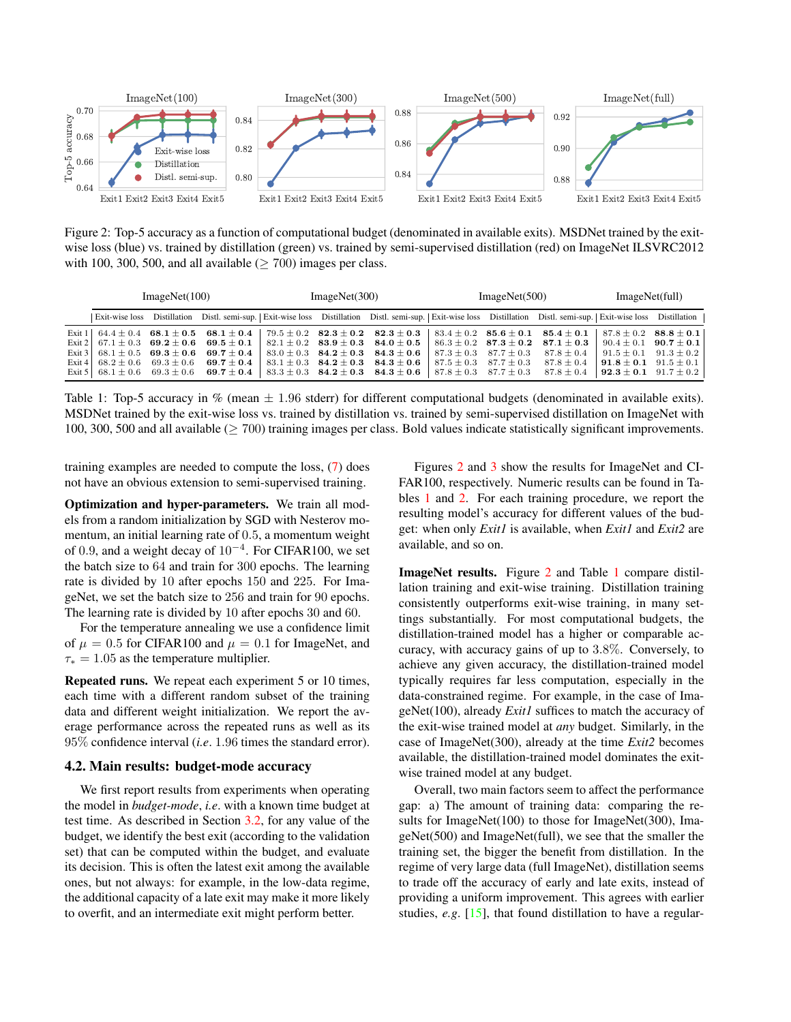<span id="page-5-2"></span><span id="page-5-0"></span>

Figure 2: Top-5 accuracy as a function of computational budget (denominated in available exits). MSDNet trained by the exitwise loss (blue) vs. trained by distillation (green) vs. trained by semi-supervised distillation (red) on ImageNet ILSVRC2012 with 100, 300, 500, and all available ( $\geq$  700) images per class.

<span id="page-5-1"></span>

| ImageNet(100) |  | ImageNet(300)                                                                                        |  | ImageNet(500)                                |  | ImageNet(full) |                                                                                                                                                                          |                                             |  |
|---------------|--|------------------------------------------------------------------------------------------------------|--|----------------------------------------------|--|----------------|--------------------------------------------------------------------------------------------------------------------------------------------------------------------------|---------------------------------------------|--|
|               |  |                                                                                                      |  |                                              |  |                | Exit-wise loss Distillation Distl. semi-sup.   Exit-wise loss Distillation Distl. semi-sup.   Exit-wise loss Distillation Distl. semi-sup.   Exit-wise loss Distillation |                                             |  |
|               |  |                                                                                                      |  |                                              |  |                | Exit 1 64.4 ± 0.4 68.1 ± 0.5 68.1 ± 0.4 79.5 ± 0.2 82.3 ± 0.2 82.3 ± 0.3 83.4 ± 0.2 85.6 ± 0.1 85.4 ± 0.1 87.8 ± 0.2 88.8 ± 0.1                                          |                                             |  |
|               |  | Exit 2 67.1 $\pm$ 0.3 69.2 $\pm$ 0.6 69.5 $\pm$ 0.1 82.1 $\pm$ 0.2 83.9 $\pm$ 0.3 84.0 $\pm$ 0.5     |  |                                              |  |                | $86.3 \pm 0.2$ $87.3 \pm 0.2$ $87.1 \pm 0.3$ $90.4 \pm 0.1$ $90.7 \pm 0.1$                                                                                               |                                             |  |
|               |  | Exit 3   68.1 $\pm$ 0.5 69.3 $\pm$ 0.6 69.7 $\pm$ 0.4                                                |  | $83.0 \pm 0.3$ $84.2 \pm 0.3$ $84.3 \pm 0.6$ |  |                | $87.3 \pm 0.3$ $87.7 \pm 0.3$ $87.8 \pm 0.4$                                                                                                                             | $91.5 \pm 0.1$ $91.3 \pm 0.2$               |  |
|               |  | Exit 4 68.2 $\pm$ 0.6 69.3 $\pm$ 0.6 69.7 $\pm$ 0.4                                                  |  | $83.1 \pm 0.3$ $84.2 \pm 0.3$ $84.3 \pm 0.6$ |  |                | $87.5 \pm 0.3$ $87.7 \pm 0.3$ $87.8 \pm 0.4$                                                                                                                             | <b>91.8</b> $\pm$ <b>0.1</b> 91.5 $\pm$ 0.1 |  |
|               |  | Exit 5   $68.1 \pm 0.6$ 69.3 $\pm$ 0.6 69.7 $\pm$ 0.4   $83.3 \pm 0.3$ 84.2 $\pm$ 0.3 84.3 $\pm$ 0.6 |  |                                              |  |                | $87.8 \pm 0.3$ $87.7 \pm 0.3$ $87.8 \pm 0.4$                                                                                                                             | $92.3 \pm 0.1$ $91.7 \pm 0.2$               |  |

Table 1: Top-5 accuracy in % (mean  $\pm$  1.96 stderr) for different computational budgets (denominated in available exits). MSDNet trained by the exit-wise loss vs. trained by distillation vs. trained by semi-supervised distillation on ImageNet with 100, 300, 500 and all available ( $\geq 700$ ) training images per class. Bold values indicate statistically significant improvements.

training examples are needed to compute the loss, [\(7\)](#page-4-3) does not have an obvious extension to semi-supervised training.

Optimization and hyper-parameters. We train all models from a random initialization by SGD with Nesterov momentum, an initial learning rate of 0.5, a momentum weight of 0.9, and a weight decay of  $10^{-4}$ . For CIFAR100, we set the batch size to 64 and train for 300 epochs. The learning rate is divided by 10 after epochs 150 and 225. For ImageNet, we set the batch size to 256 and train for 90 epochs. The learning rate is divided by 10 after epochs 30 and 60.

For the temperature annealing we use a confidence limit of  $\mu = 0.5$  for CIFAR100 and  $\mu = 0.1$  for ImageNet, and  $\tau_* = 1.05$  as the temperature multiplier.

Repeated runs. We repeat each experiment 5 or 10 times, each time with a different random subset of the training data and different weight initialization. We report the average performance across the repeated runs as well as its 95% confidence interval (*i.e*. 1.96 times the standard error).

#### 4.2. Main results: budget-mode accuracy

We first report results from experiments when operating the model in *budget-mode*, *i.e*. with a known time budget at test time. As described in Section [3.2,](#page-2-0) for any value of the budget, we identify the best exit (according to the validation set) that can be computed within the budget, and evaluate its decision. This is often the latest exit among the available ones, but not always: for example, in the low-data regime, the additional capacity of a late exit may make it more likely to overfit, and an intermediate exit might perform better.

Figures [2](#page-5-0) and [3](#page-6-0) show the results for ImageNet and CI-FAR100, respectively. Numeric results can be found in Tables [1](#page-5-1) and [2.](#page-6-1) For each training procedure, we report the resulting model's accuracy for different values of the budget: when only *Exit1* is available, when *Exit1* and *Exit2* are available, and so on.

ImageNet results. Figure [2](#page-5-0) and Table [1](#page-5-1) compare distillation training and exit-wise training. Distillation training consistently outperforms exit-wise training, in many settings substantially. For most computational budgets, the distillation-trained model has a higher or comparable accuracy, with accuracy gains of up to 3.8%. Conversely, to achieve any given accuracy, the distillation-trained model typically requires far less computation, especially in the data-constrained regime. For example, in the case of ImageNet(100), already *Exit1* suffices to match the accuracy of the exit-wise trained model at *any* budget. Similarly, in the case of ImageNet(300), already at the time *Exit2* becomes available, the distillation-trained model dominates the exitwise trained model at any budget.

Overall, two main factors seem to affect the performance gap: a) The amount of training data: comparing the results for ImageNet(100) to those for ImageNet(300), ImageNet(500) and ImageNet(full), we see that the smaller the training set, the bigger the benefit from distillation. In the regime of very large data (full ImageNet), distillation seems to trade off the accuracy of early and late exits, instead of providing a uniform improvement. This agrees with earlier studies, *e.g*. [\[15\]](#page-8-0), that found distillation to have a regular-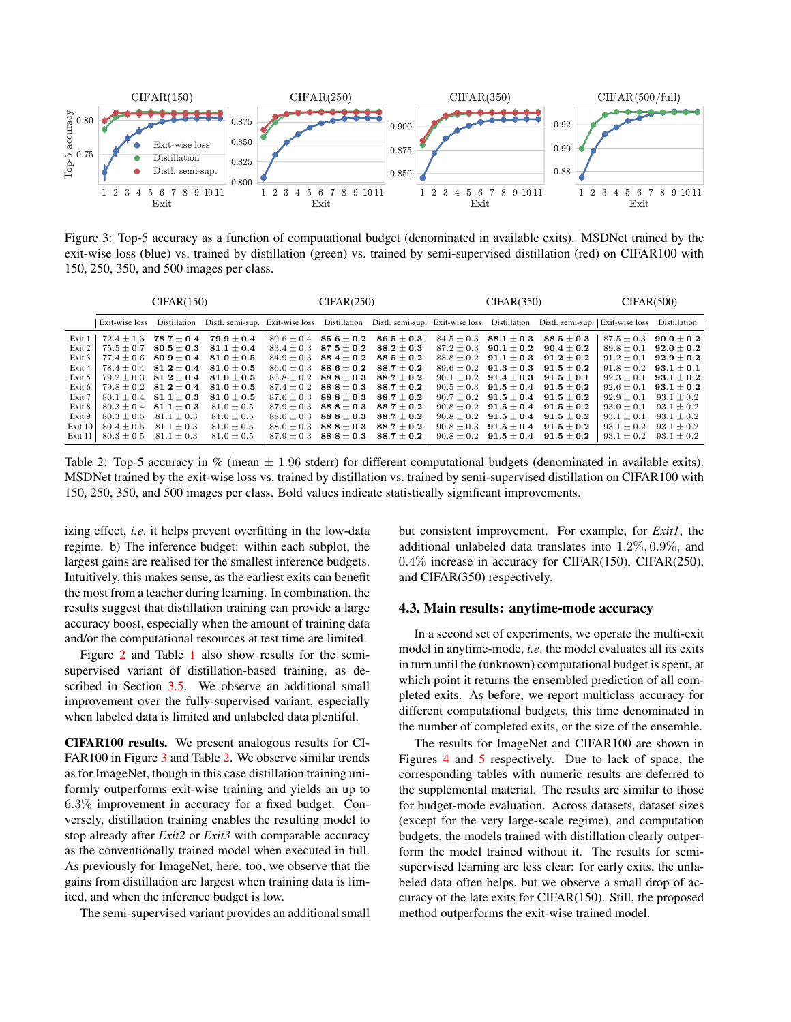<span id="page-6-0"></span>

Figure 3: Top-5 accuracy as a function of computational budget (denominated in available exits). MSDNet trained by the exit-wise loss (blue) vs. trained by distillation (green) vs. trained by semi-supervised distillation (red) on CIFAR100 with 150, 250, 350, and 500 images per class.

<span id="page-6-1"></span>

|            | CIFAR(150)     |                                  |                                  | CIFAR(250)     |                                  |                                  | CIFAR(350)   |                               | CIFAR(500)                                                                                                                      |                |                |
|------------|----------------|----------------------------------|----------------------------------|----------------|----------------------------------|----------------------------------|--------------|-------------------------------|---------------------------------------------------------------------------------------------------------------------------------|----------------|----------------|
|            | Exit-wise loss | Distillation                     |                                  |                |                                  |                                  |              |                               | Distl. semi-sup.   Exit-wise loss Distillation Distl. semi-sup.   Exit-wise loss Distillation Distl. semi-sup.   Exit-wise loss |                | Distillation   |
| Exit 1     |                | $72.4 \pm 1.3$ $78.7 \pm 0.4$    | $\textbf{79.9} \pm \textbf{0.4}$ |                | $80.6 \pm 0.4$ 85.6 $\pm$ 0.2    | $86.5 + 0.3$                     |              | $84.5 \pm 0.3$ $88.1 \pm 0.3$ | $\textbf{88.5}\pm\textbf{0.3}$                                                                                                  | $87.5 + 0.3$   | $90.0 \pm 0.2$ |
| Exit 2     | $75.5 \pm 0.7$ | $\bf 80.5\pm0.3$                 | $81.1 \pm 0.4$                   | $83.4 \pm 0.3$ | $\textbf{87.5} \pm \textbf{0.2}$ | $\textbf{88.2}\pm\textbf{0.3}$   | $87.2 + 0.3$ | $90.1 \pm 0.2$                | $90.4\pm0.2$                                                                                                                    | $89.8 \pm 0.1$ | $92.0 \pm 0.2$ |
| Exit 3     | $77.4 \pm 0.6$ | $\textbf{80.9} \pm \textbf{0.4}$ | $81.0 \pm 0.5$                   | $84.9 \pm 0.3$ | $\textbf{88.4}\pm\textbf{0.2}$   | $\textbf{88.5} \pm \textbf{0.2}$ |              | $88.8 \pm 0.2$ 91.1 $\pm$ 0.3 | $91.2\pm0.2$                                                                                                                    | $91.2 \pm 0.1$ | $92.9 \pm 0.2$ |
| Exit 4     |                | $78.4 \pm 0.4$ 81.2 $\pm$ 0.4    | $81.0 \pm 0.5$                   | $86.0 \pm 0.3$ | $\textbf{88.6} \pm \textbf{0.2}$ | $88.7\pm0.2$                     |              | $89.6 \pm 0.2$ 91.3 $\pm$ 0.3 | $\textbf{91.5} \pm \textbf{0.2}$                                                                                                | $91.8 \pm 0.2$ | $93.1 \pm 0.1$ |
| Exit 5     |                | $79.2 \pm 0.3$ 81.2 $\pm$ 0.4    | $81.0 \pm 0.5$                   | $86.8 \pm 0.2$ | $\textbf{88.8}\pm\textbf{0.3}$   | $88.7\pm0.2$                     |              | $90.1 \pm 0.2$ $91.4 \pm 0.3$ | $\textbf{91.5} \pm \textbf{0.1}$                                                                                                | $92.3 \pm 0.1$ | $93.1 \pm 0.2$ |
| Exit 6     |                | $79.8 \pm 0.2$ 81.2 $\pm$ 0.4    | $81.0 \pm 0.5$                   | $87.4 + 0.2$   | $88.8 + 0.3$                     | $88.7 + 0.2$                     |              | $90.5 \pm 0.3$ $91.5 \pm 0.4$ | $91.5 + 0.2$                                                                                                                    | $92.6 \pm 0.1$ | $93.1 \pm 0.2$ |
| Exit 7     |                | $80.1 \pm 0.4$ $81.1 \pm 0.3$    | $81.0 \pm 0.5$                   | $87.6 + 0.3$   | $\textbf{88.8}\pm\textbf{0.3}$   | $88.7 + 0.2$                     |              |                               | $90.7 \pm 0.2$ $91.5 \pm 0.4$ $91.5 \pm 0.2$                                                                                    | $92.9 \pm 0.1$ | $93.1 \pm 0.2$ |
| Exit 8     |                | $80.3 \pm 0.4$ $81.1 \pm 0.3$    | $81.0 \pm 0.5$                   | $87.9 + 0.3$   | $\textbf{88.8} \pm \textbf{0.3}$ | $88.7\pm0.2$                     |              | $90.8 \pm 0.2$ $91.5 \pm 0.4$ | $91.5 + 0.2$                                                                                                                    | $93.0 \pm 0.1$ | $93.1 \pm 0.2$ |
| Exit 9     | $80.3 \pm 0.5$ | $81.1 \pm 0.3$                   | $81.0 \pm 0.5$                   | $88.0 \pm 0.3$ | $\textbf{88.8}\pm\textbf{0.3}$   | $88.7 + 0.2$                     |              | $90.8 \pm 0.2$ $91.5 \pm 0.4$ | $91.5 + 0.2$                                                                                                                    | $93.1 \pm 0.1$ | $93.1 \pm 0.2$ |
| Exit $101$ | $80.4 \pm 0.5$ | $81.1 \pm 0.3$                   | $81.0 \pm 0.5$                   | $88.0 \pm 0.3$ | $\textbf{88.8} \pm \textbf{0.3}$ | $88.7\pm0.2$                     |              | $90.8 \pm 0.3$ $91.5 \pm 0.4$ | $\textbf{91.5} \pm \textbf{0.2}$                                                                                                | $93.1 \pm 0.2$ | $93.1 \pm 0.2$ |
| Exit $11$  | $80.3 \pm 0.5$ | $81.1 \pm 0.3$                   | $81.0 \pm 0.5$                   | $87.9 \pm 0.3$ | $\textbf{88.8} \pm \textbf{0.3}$ | $88.7 \pm 0.2$                   |              | $90.8 \pm 0.2$ $91.5 \pm 0.4$ | $\textbf{91.5} \pm \textbf{0.2}$                                                                                                | $93.1 \pm 0.2$ | $93.1 \pm 0.2$ |

Table 2: Top-5 accuracy in % (mean  $\pm$  1.96 stderr) for different computational budgets (denominated in available exits). MSDNet trained by the exit-wise loss vs. trained by distillation vs. trained by semi-supervised distillation on CIFAR100 with 150, 250, 350, and 500 images per class. Bold values indicate statistically significant improvements.

izing effect, *i.e*. it helps prevent overfitting in the low-data regime. b) The inference budget: within each subplot, the largest gains are realised for the smallest inference budgets. Intuitively, this makes sense, as the earliest exits can benefit the most from a teacher during learning. In combination, the results suggest that distillation training can provide a large accuracy boost, especially when the amount of training data and/or the computational resources at test time are limited.

Figure [2](#page-5-0) and Table [1](#page-5-1) also show results for the semisupervised variant of distillation-based training, as described in Section [3.5.](#page-4-4) We observe an additional small improvement over the fully-supervised variant, especially when labeled data is limited and unlabeled data plentiful.

CIFAR100 results. We present analogous results for CI-FAR100 in Figure [3](#page-6-0) and Table [2.](#page-6-1) We observe similar trends as for ImageNet, though in this case distillation training uniformly outperforms exit-wise training and yields an up to 6.3% improvement in accuracy for a fixed budget. Conversely, distillation training enables the resulting model to stop already after *Exit2* or *Exit3* with comparable accuracy as the conventionally trained model when executed in full. As previously for ImageNet, here, too, we observe that the gains from distillation are largest when training data is limited, and when the inference budget is low.

The semi-supervised variant provides an additional small

but consistent improvement. For example, for *Exit1*, the additional unlabeled data translates into 1.2%, 0.9%, and 0.4% increase in accuracy for CIFAR(150), CIFAR(250), and CIFAR(350) respectively.

### 4.3. Main results: anytime-mode accuracy

In a second set of experiments, we operate the multi-exit model in anytime-mode, *i.e*. the model evaluates all its exits in turn until the (unknown) computational budget is spent, at which point it returns the ensembled prediction of all completed exits. As before, we report multiclass accuracy for different computational budgets, this time denominated in the number of completed exits, or the size of the ensemble.

The results for ImageNet and CIFAR100 are shown in Figures [4](#page-7-1) and [5](#page-7-2) respectively. Due to lack of space, the corresponding tables with numeric results are deferred to the supplemental material. The results are similar to those for budget-mode evaluation. Across datasets, dataset sizes (except for the very large-scale regime), and computation budgets, the models trained with distillation clearly outperform the model trained without it. The results for semisupervised learning are less clear: for early exits, the unlabeled data often helps, but we observe a small drop of accuracy of the late exits for CIFAR(150). Still, the proposed method outperforms the exit-wise trained model.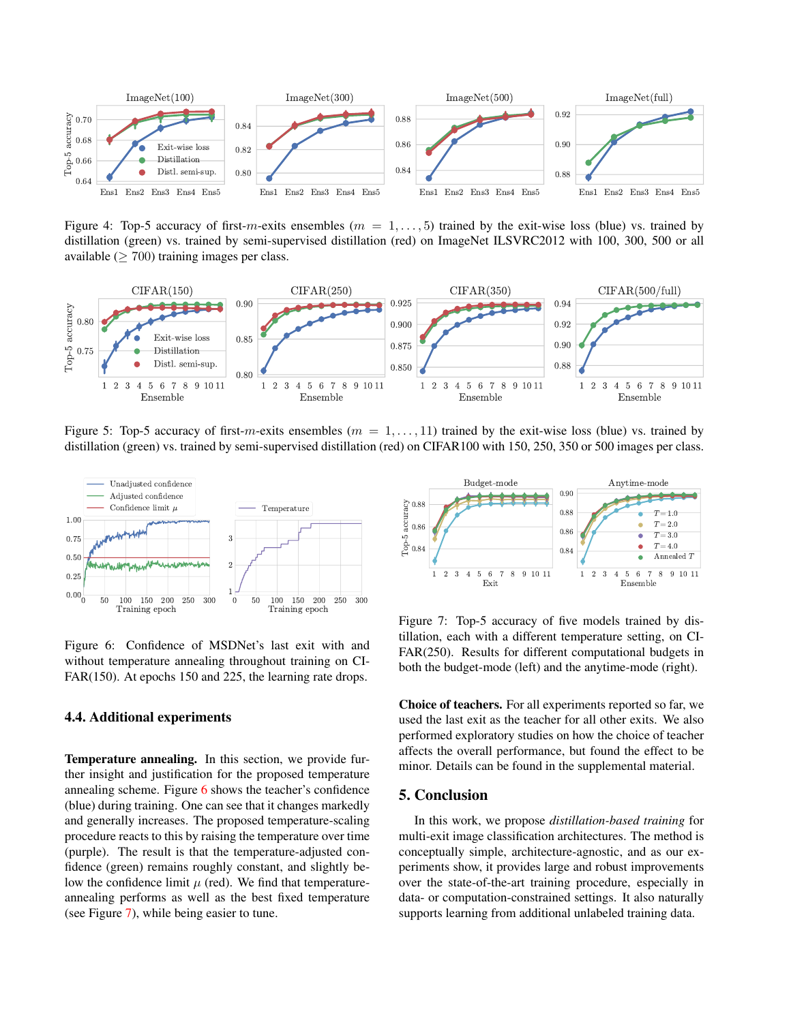<span id="page-7-1"></span>

Figure 4: Top-5 accuracy of first-m-exits ensembles ( $m = 1, \ldots, 5$ ) trained by the exit-wise loss (blue) vs. trained by distillation (green) vs. trained by semi-supervised distillation (red) on ImageNet ILSVRC2012 with 100, 300, 500 or all available ( $\geq 700$ ) training images per class.

<span id="page-7-2"></span>

Figure 5: Top-5 accuracy of first-m-exits ensembles ( $m = 1, \ldots, 11$ ) trained by the exit-wise loss (blue) vs. trained by distillation (green) vs. trained by semi-supervised distillation (red) on CIFAR100 with 150, 250, 350 or 500 images per class.

<span id="page-7-0"></span>

Figure 6: Confidence of MSDNet's last exit with and without temperature annealing throughout training on CI-FAR(150). At epochs 150 and 225, the learning rate drops.

# 4.4. Additional experiments

Temperature annealing. In this section, we provide further insight and justification for the proposed temperature annealing scheme. Figure [6](#page-7-0) shows the teacher's confidence (blue) during training. One can see that it changes markedly and generally increases. The proposed temperature-scaling procedure reacts to this by raising the temperature over time (purple). The result is that the temperature-adjusted confidence (green) remains roughly constant, and slightly below the confidence limit  $\mu$  (red). We find that temperatureannealing performs as well as the best fixed temperature (see Figure [7\)](#page-7-3), while being easier to tune.

<span id="page-7-3"></span>

Figure 7: Top-5 accuracy of five models trained by distillation, each with a different temperature setting, on CI-FAR(250). Results for different computational budgets in both the budget-mode (left) and the anytime-mode (right).

Choice of teachers. For all experiments reported so far, we used the last exit as the teacher for all other exits. We also performed exploratory studies on how the choice of teacher affects the overall performance, but found the effect to be minor. Details can be found in the supplemental material.

# 5. Conclusion

In this work, we propose *distillation-based training* for multi-exit image classification architectures. The method is conceptually simple, architecture-agnostic, and as our experiments show, it provides large and robust improvements over the state-of-the-art training procedure, especially in data- or computation-constrained settings. It also naturally supports learning from additional unlabeled training data.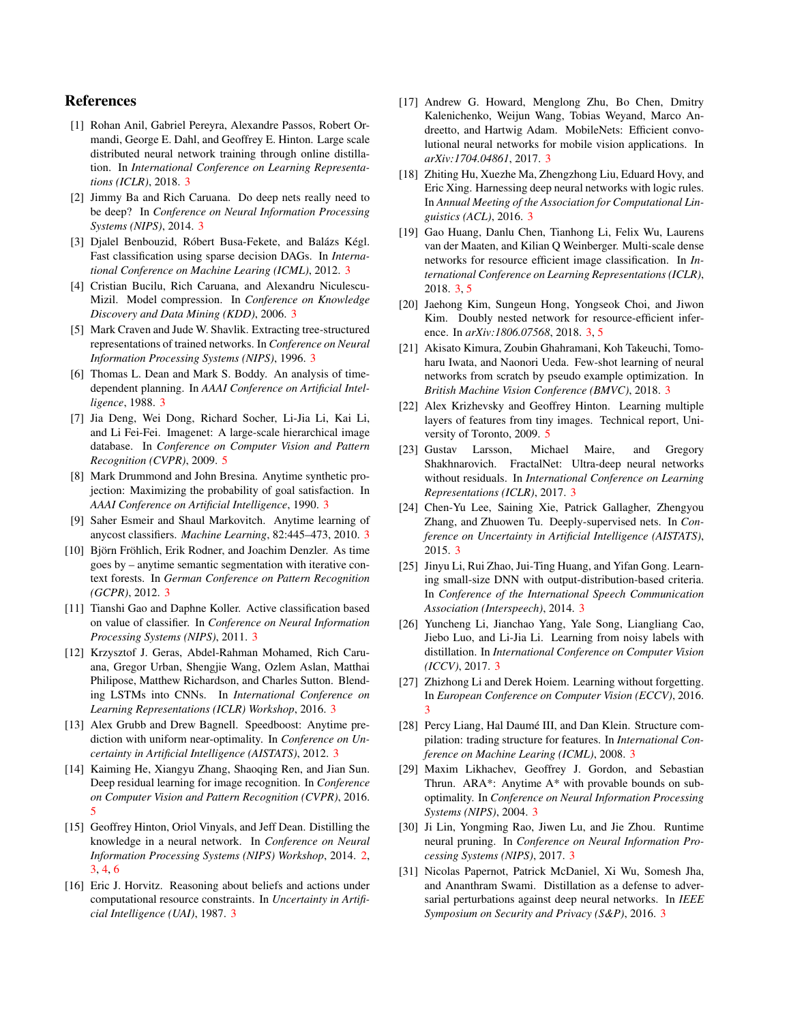# References

- <span id="page-8-26"></span>[1] Rohan Anil, Gabriel Pereyra, Alexandre Passos, Robert Ormandi, George E. Dahl, and Geoffrey E. Hinton. Large scale distributed neural network training through online distillation. In *International Conference on Learning Representations (ICLR)*, 2018. [3](#page-2-1)
- <span id="page-8-15"></span>[2] Jimmy Ba and Rich Caruana. Do deep nets really need to be deep? In *Conference on Neural Information Processing Systems (NIPS)*, 2014. [3](#page-2-1)
- <span id="page-8-8"></span>[3] Djalel Benbouzid, Róbert Busa-Fekete, and Balázs Kégl. Fast classification using sparse decision DAGs. In *International Conference on Machine Learing (ICML)*, 2012. [3](#page-2-1)
- <span id="page-8-16"></span>[4] Cristian Bucilu, Rich Caruana, and Alexandru Niculescu-Mizil. Model compression. In *Conference on Knowledge Discovery and Data Mining (KDD)*, 2006. [3](#page-2-1)
- <span id="page-8-17"></span>[5] Mark Craven and Jude W. Shavlik. Extracting tree-structured representations of trained networks. In *Conference on Neural Information Processing Systems (NIPS)*, 1996. [3](#page-2-1)
- <span id="page-8-1"></span>[6] Thomas L. Dean and Mark S. Boddy. An analysis of timedependent planning. In *AAAI Conference on Artificial Intelligence*, 1988. [3](#page-2-1)
- <span id="page-8-29"></span>[7] Jia Deng, Wei Dong, Richard Socher, Li-Jia Li, Kai Li, and Li Fei-Fei. Imagenet: A large-scale hierarchical image database. In *Conference on Computer Vision and Pattern Recognition (CVPR)*, 2009. [5](#page-4-5)
- <span id="page-8-3"></span>[8] Mark Drummond and John Bresina. Anytime synthetic projection: Maximizing the probability of goal satisfaction. In *AAAI Conference on Artificial Intelligence*, 1990. [3](#page-2-1)
- <span id="page-8-5"></span>[9] Saher Esmeir and Shaul Markovitch. Anytime learning of anycost classifiers. *Machine Learning*, 82:445–473, 2010. [3](#page-2-1)
- <span id="page-8-6"></span>[10] Björn Fröhlich, Erik Rodner, and Joachim Denzler. As time goes by – anytime semantic segmentation with iterative context forests. In *German Conference on Pattern Recognition (GCPR)*, 2012. [3](#page-2-1)
- <span id="page-8-9"></span>[11] Tianshi Gao and Daphne Koller. Active classification based on value of classifier. In *Conference on Neural Information Processing Systems (NIPS)*, 2011. [3](#page-2-1)
- <span id="page-8-20"></span>[12] Krzysztof J. Geras, Abdel-Rahman Mohamed, Rich Caruana, Gregor Urban, Shengjie Wang, Ozlem Aslan, Matthai Philipose, Matthew Richardson, and Charles Sutton. Blending LSTMs into CNNs. In *International Conference on Learning Representations (ICLR) Workshop*, 2016. [3](#page-2-1)
- <span id="page-8-7"></span>[13] Alex Grubb and Drew Bagnell. Speedboost: Anytime prediction with uniform near-optimality. In *Conference on Uncertainty in Artificial Intelligence (AISTATS)*, 2012. [3](#page-2-1)
- <span id="page-8-30"></span>[14] Kaiming He, Xiangyu Zhang, Shaoqing Ren, and Jian Sun. Deep residual learning for image recognition. In *Conference on Computer Vision and Pattern Recognition (CVPR)*, 2016. [5](#page-4-5)
- <span id="page-8-0"></span>[15] Geoffrey Hinton, Oriol Vinyals, and Jeff Dean. Distilling the knowledge in a neural network. In *Conference on Neural Information Processing Systems (NIPS) Workshop*, 2014. [2,](#page-1-0) [3,](#page-2-1) [4,](#page-3-5) [6](#page-5-2)
- <span id="page-8-2"></span>[16] Eric J. Horvitz. Reasoning about beliefs and actions under computational resource constraints. In *Uncertainty in Artificial Intelligence (UAI)*, 1987. [3](#page-2-1)
- <span id="page-8-21"></span>[17] Andrew G. Howard, Menglong Zhu, Bo Chen, Dmitry Kalenichenko, Weijun Wang, Tobias Weyand, Marco Andreetto, and Hartwig Adam. MobileNets: Efficient convolutional neural networks for mobile vision applications. In *arXiv:1704.04861*, 2017. [3](#page-2-1)
- <span id="page-8-22"></span>[18] Zhiting Hu, Xuezhe Ma, Zhengzhong Liu, Eduard Hovy, and Eric Xing. Harnessing deep neural networks with logic rules. In *Annual Meeting of the Association for Computational Linguistics (ACL)*, 2016. [3](#page-2-1)
- <span id="page-8-12"></span>[19] Gao Huang, Danlu Chen, Tianhong Li, Felix Wu, Laurens van der Maaten, and Kilian Q Weinberger. Multi-scale dense networks for resource efficient image classification. In *International Conference on Learning Representations (ICLR)*, 2018. [3,](#page-2-1) [5](#page-4-5)
- <span id="page-8-13"></span>[20] Jaehong Kim, Sungeun Hong, Yongseok Choi, and Jiwon Kim. Doubly nested network for resource-efficient inference. In *arXiv:1806.07568*, 2018. [3,](#page-2-1) [5](#page-4-5)
- <span id="page-8-25"></span>[21] Akisato Kimura, Zoubin Ghahramani, Koh Takeuchi, Tomoharu Iwata, and Naonori Ueda. Few-shot learning of neural networks from scratch by pseudo example optimization. In *British Machine Vision Conference (BMVC)*, 2018. [3](#page-2-1)
- <span id="page-8-28"></span>[22] Alex Krizhevsky and Geoffrey Hinton. Learning multiple layers of features from tiny images. Technical report, University of Toronto, 2009. [5](#page-4-5)
- <span id="page-8-10"></span>[23] Gustav Larsson, Michael Maire, and Gregory Shakhnarovich. FractalNet: Ultra-deep neural networks without residuals. In *International Conference on Learning Representations (ICLR)*, 2017. [3](#page-2-1)
- <span id="page-8-14"></span>[24] Chen-Yu Lee, Saining Xie, Patrick Gallagher, Zhengyou Zhang, and Zhuowen Tu. Deeply-supervised nets. In *Conference on Uncertainty in Artificial Intelligence (AISTATS)*, 2015. [3](#page-2-1)
- <span id="page-8-18"></span>[25] Jinyu Li, Rui Zhao, Jui-Ting Huang, and Yifan Gong. Learning small-size DNN with output-distribution-based criteria. In *Conference of the International Speech Communication Association (Interspeech)*, 2014. [3](#page-2-1)
- <span id="page-8-23"></span>[26] Yuncheng Li, Jianchao Yang, Yale Song, Liangliang Cao, Jiebo Luo, and Li-Jia Li. Learning from noisy labels with distillation. In *International Conference on Computer Vision (ICCV)*, 2017. [3](#page-2-1)
- <span id="page-8-27"></span>[27] Zhizhong Li and Derek Hoiem. Learning without forgetting. In *European Conference on Computer Vision (ECCV)*, 2016. [3](#page-2-1)
- <span id="page-8-19"></span>[28] Percy Liang, Hal Daumé III, and Dan Klein. Structure compilation: trading structure for features. In *International Conference on Machine Learing (ICML)*, 2008. [3](#page-2-1)
- <span id="page-8-4"></span>[29] Maxim Likhachev, Geoffrey J. Gordon, and Sebastian Thrun. ARA\*: Anytime A\* with provable bounds on suboptimality. In *Conference on Neural Information Processing Systems (NIPS)*, 2004. [3](#page-2-1)
- <span id="page-8-11"></span>[30] Ji Lin, Yongming Rao, Jiwen Lu, and Jie Zhou. Runtime neural pruning. In *Conference on Neural Information Processing Systems (NIPS)*, 2017. [3](#page-2-1)
- <span id="page-8-24"></span>[31] Nicolas Papernot, Patrick McDaniel, Xi Wu, Somesh Jha, and Ananthram Swami. Distillation as a defense to adversarial perturbations against deep neural networks. In *IEEE Symposium on Security and Privacy (S&P)*, 2016. [3](#page-2-1)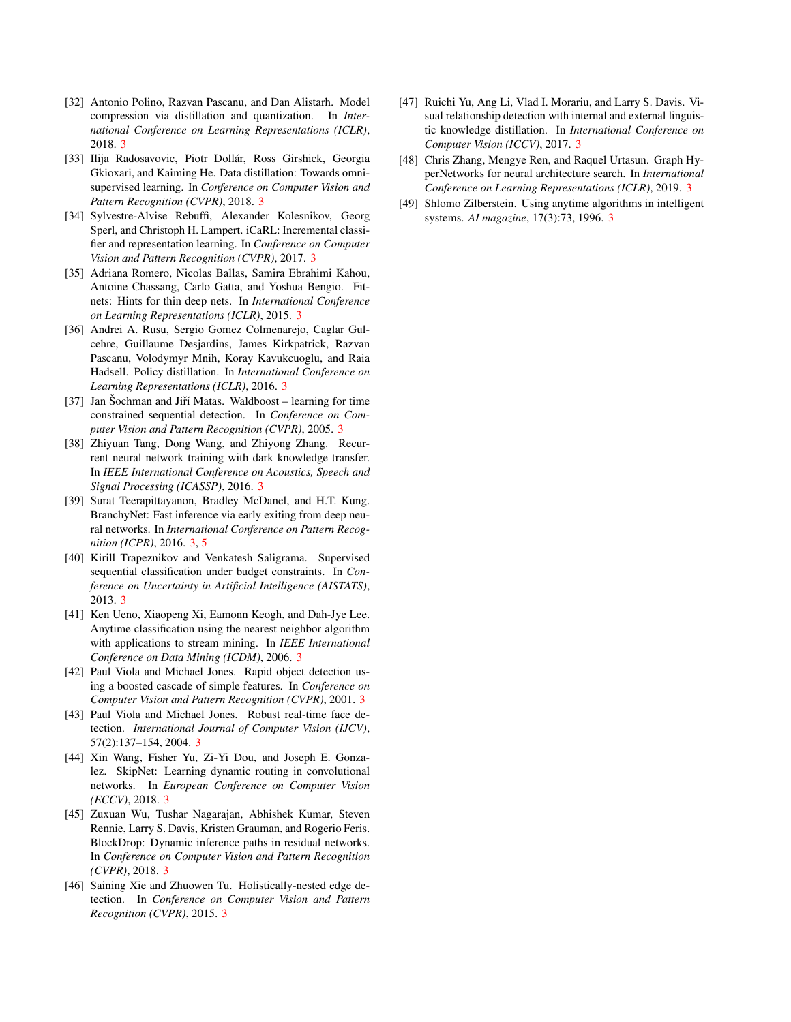- <span id="page-9-11"></span>[32] Antonio Polino, Razvan Pascanu, and Dan Alistarh. Model compression via distillation and quantization. In *International Conference on Learning Representations (ICLR)*, 2018. [3](#page-2-1)
- <span id="page-9-16"></span>[33] Ilija Radosavovic, Piotr Dollár, Ross Girshick, Georgia Gkioxari, and Kaiming He. Data distillation: Towards omnisupervised learning. In *Conference on Computer Vision and Pattern Recognition (CVPR)*, 2018. [3](#page-2-1)
- <span id="page-9-17"></span>[34] Sylvestre-Alvise Rebuffi, Alexander Kolesnikov, Georg Sperl, and Christoph H. Lampert. iCaRL: Incremental classifier and representation learning. In *Conference on Computer Vision and Pattern Recognition (CVPR)*, 2017. [3](#page-2-1)
- <span id="page-9-13"></span>[35] Adriana Romero, Nicolas Ballas, Samira Ebrahimi Kahou, Antoine Chassang, Carlo Gatta, and Yoshua Bengio. Fitnets: Hints for thin deep nets. In *International Conference on Learning Representations (ICLR)*, 2015. [3](#page-2-1)
- <span id="page-9-15"></span>[36] Andrei A. Rusu, Sergio Gomez Colmenarejo, Caglar Gulcehre, Guillaume Desjardins, James Kirkpatrick, Razvan Pascanu, Volodymyr Mnih, Koray Kavukcuoglu, and Raia Hadsell. Policy distillation. In *International Conference on Learning Representations (ICLR)*, 2016. [3](#page-2-1)
- <span id="page-9-1"></span>[37] Jan Sochman and Jiří Matas. Waldboost – learning for time constrained sequential detection. In *Conference on Computer Vision and Pattern Recognition (CVPR)*, 2005. [3](#page-2-1)
- <span id="page-9-14"></span>[38] Zhiyuan Tang, Dong Wang, and Zhiyong Zhang. Recurrent neural network training with dark knowledge transfer. In *IEEE International Conference on Acoustics, Speech and Signal Processing (ICASSP)*, 2016. [3](#page-2-1)
- <span id="page-9-8"></span>[39] Surat Teerapittayanon, Bradley McDanel, and H.T. Kung. BranchyNet: Fast inference via early exiting from deep neural networks. In *International Conference on Pattern Recognition (ICPR)*, 2016. [3,](#page-2-1) [5](#page-4-5)
- <span id="page-9-5"></span>[40] Kirill Trapeznikov and Venkatesh Saligrama. Supervised sequential classification under budget constraints. In *Conference on Uncertainty in Artificial Intelligence (AISTATS)*, 2013. [3](#page-2-1)
- <span id="page-9-4"></span>[41] Ken Ueno, Xiaopeng Xi, Eamonn Keogh, and Dah-Jye Lee. Anytime classification using the nearest neighbor algorithm with applications to stream mining. In *IEEE International Conference on Data Mining (ICDM)*, 2006. [3](#page-2-1)
- <span id="page-9-2"></span>[42] Paul Viola and Michael Jones. Rapid object detection using a boosted cascade of simple features. In *Conference on Computer Vision and Pattern Recognition (CVPR)*, 2001. [3](#page-2-1)
- <span id="page-9-3"></span>[43] Paul Viola and Michael Jones. Robust real-time face detection. *International Journal of Computer Vision (IJCV)*, 57(2):137–154, 2004. [3](#page-2-1)
- <span id="page-9-6"></span>[44] Xin Wang, Fisher Yu, Zi-Yi Dou, and Joseph E. Gonzalez. SkipNet: Learning dynamic routing in convolutional networks. In *European Conference on Computer Vision (ECCV)*, 2018. [3](#page-2-1)
- <span id="page-9-7"></span>[45] Zuxuan Wu, Tushar Nagarajan, Abhishek Kumar, Steven Rennie, Larry S. Davis, Kristen Grauman, and Rogerio Feris. BlockDrop: Dynamic inference paths in residual networks. In *Conference on Computer Vision and Pattern Recognition (CVPR)*, 2018. [3](#page-2-1)
- <span id="page-9-10"></span>[46] Saining Xie and Zhuowen Tu. Holistically-nested edge detection. In *Conference on Computer Vision and Pattern Recognition (CVPR)*, 2015. [3](#page-2-1)
- <span id="page-9-12"></span>[47] Ruichi Yu, Ang Li, Vlad I. Morariu, and Larry S. Davis. Visual relationship detection with internal and external linguistic knowledge distillation. In *International Conference on Computer Vision (ICCV)*, 2017. [3](#page-2-1)
- <span id="page-9-9"></span>[48] Chris Zhang, Mengye Ren, and Raquel Urtasun. Graph HyperNetworks for neural architecture search. In *International Conference on Learning Representations (ICLR)*, 2019. [3](#page-2-1)
- <span id="page-9-0"></span>[49] Shlomo Zilberstein. Using anytime algorithms in intelligent systems. *AI magazine*, 17(3):73, 1996. [3](#page-2-1)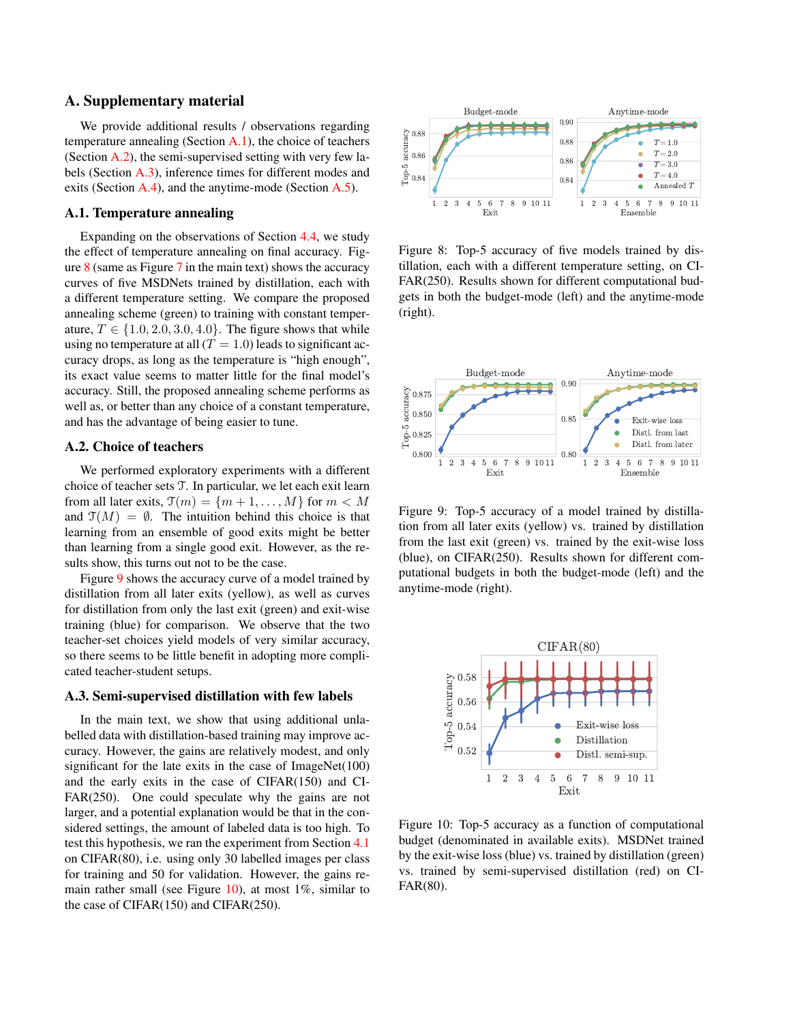# A. Supplementary material

We provide additional results / observations regarding temperature annealing (Section [A.1\)](#page-10-0), the choice of teachers (Section [A.2\)](#page-10-1), the semi-supervised setting with very few labels (Section [A.3\)](#page-10-2), inference times for different modes and exits (Section [A.4\)](#page-11-0), and the anytime-mode (Section [A.5\)](#page-11-1).

#### <span id="page-10-0"></span>A.1. Temperature annealing

Expanding on the observations of Section [4.4,](#page--1-0) we study the effect of temperature annealing on final accuracy. Figure  $8$  (same as Figure [7](#page--1-1) in the main text) shows the accuracy curves of five MSDNets trained by distillation, each with a different temperature setting. We compare the proposed annealing scheme (green) to training with constant temperature,  $T \in \{1.0, 2.0, 3.0, 4.0\}$ . The figure shows that while using no temperature at all  $(T = 1.0)$  leads to significant accuracy drops, as long as the temperature is "high enough", its exact value seems to matter little for the final model's accuracy. Still, the proposed annealing scheme performs as well as, or better than any choice of a constant temperature, and has the advantage of being easier to tune.

# <span id="page-10-1"></span>A.2. Choice of teachers

We performed exploratory experiments with a different choice of teacher sets T. In particular, we let each exit learn from all later exits,  $\mathfrak{I}(m) = \{m+1, \ldots, M\}$  for  $m \lt M$ and  $\mathfrak{T}(M) = \emptyset$ . The intuition behind this choice is that learning from an ensemble of good exits might be better than learning from a single good exit. However, as the results show, this turns out not to be the case.

Figure [9](#page-10-4) shows the accuracy curve of a model trained by distillation from all later exits (yellow), as well as curves for distillation from only the last exit (green) and exit-wise training (blue) for comparison. We observe that the two teacher-set choices yield models of very similar accuracy, so there seems to be little benefit in adopting more complicated teacher-student setups.

#### <span id="page-10-2"></span>A.3. Semi-supervised distillation with few labels

In the main text, we show that using additional unlabelled data with distillation-based training may improve accuracy. However, the gains are relatively modest, and only significant for the late exits in the case of ImageNet(100) and the early exits in the case of CIFAR(150) and CI-FAR(250). One could speculate why the gains are not larger, and a potential explanation would be that in the considered settings, the amount of labeled data is too high. To test this hypothesis, we ran the experiment from Section [4.1](#page--1-2) on CIFAR(80), i.e. using only 30 labelled images per class for training and 50 for validation. However, the gains re-main rather small (see Figure [10\)](#page-10-5), at most  $1\%$ , similar to the case of CIFAR(150) and CIFAR(250).

<span id="page-10-3"></span>

Figure 8: Top-5 accuracy of five models trained by distillation, each with a different temperature setting, on CI-FAR(250). Results shown for different computational budgets in both the budget-mode (left) and the anytime-mode (right).

<span id="page-10-4"></span>

Figure 9: Top-5 accuracy of a model trained by distillation from all later exits (yellow) vs. trained by distillation from the last exit (green) vs. trained by the exit-wise loss (blue), on CIFAR(250). Results shown for different computational budgets in both the budget-mode (left) and the anytime-mode (right).

<span id="page-10-5"></span>

Figure 10: Top-5 accuracy as a function of computational budget (denominated in available exits). MSDNet trained by the exit-wise loss (blue) vs. trained by distillation (green) vs. trained by semi-supervised distillation (red) on CI-FAR(80).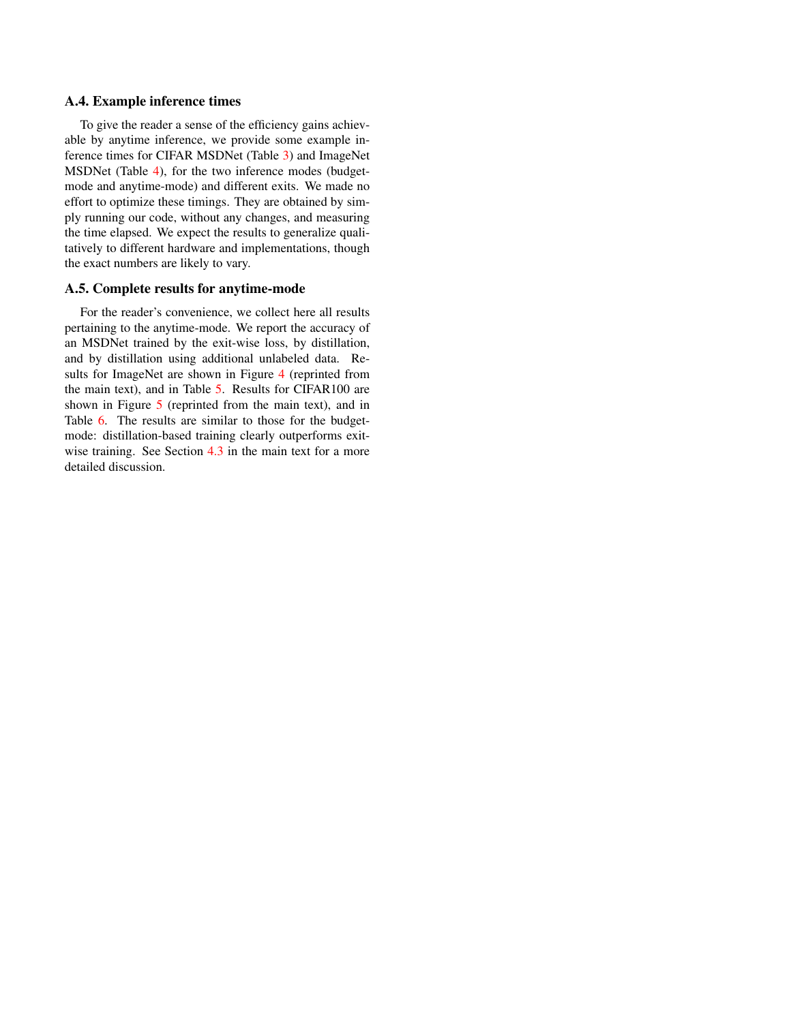### <span id="page-11-0"></span>A.4. Example inference times

To give the reader a sense of the efficiency gains achievable by anytime inference, we provide some example inference times for CIFAR MSDNet (Table [3\)](#page-12-0) and ImageNet MSDNet (Table [4\)](#page-12-1), for the two inference modes (budgetmode and anytime-mode) and different exits. We made no effort to optimize these timings. They are obtained by simply running our code, without any changes, and measuring the time elapsed. We expect the results to generalize qualitatively to different hardware and implementations, though the exact numbers are likely to vary.

# <span id="page-11-1"></span>A.5. Complete results for anytime-mode

For the reader's convenience, we collect here all results pertaining to the anytime-mode. We report the accuracy of an MSDNet trained by the exit-wise loss, by distillation, and by distillation using additional unlabeled data. Re-sults for ImageNet are shown in Figure [4](#page--1-3) (reprinted from the main text), and in Table [5.](#page-12-2) Results for CIFAR100 are shown in Figure [5](#page--1-4) (reprinted from the main text), and in Table [6.](#page-14-0) The results are similar to those for the budgetmode: distillation-based training clearly outperforms exit-wise training. See Section [4.3](#page--1-5) in the main text for a more detailed discussion.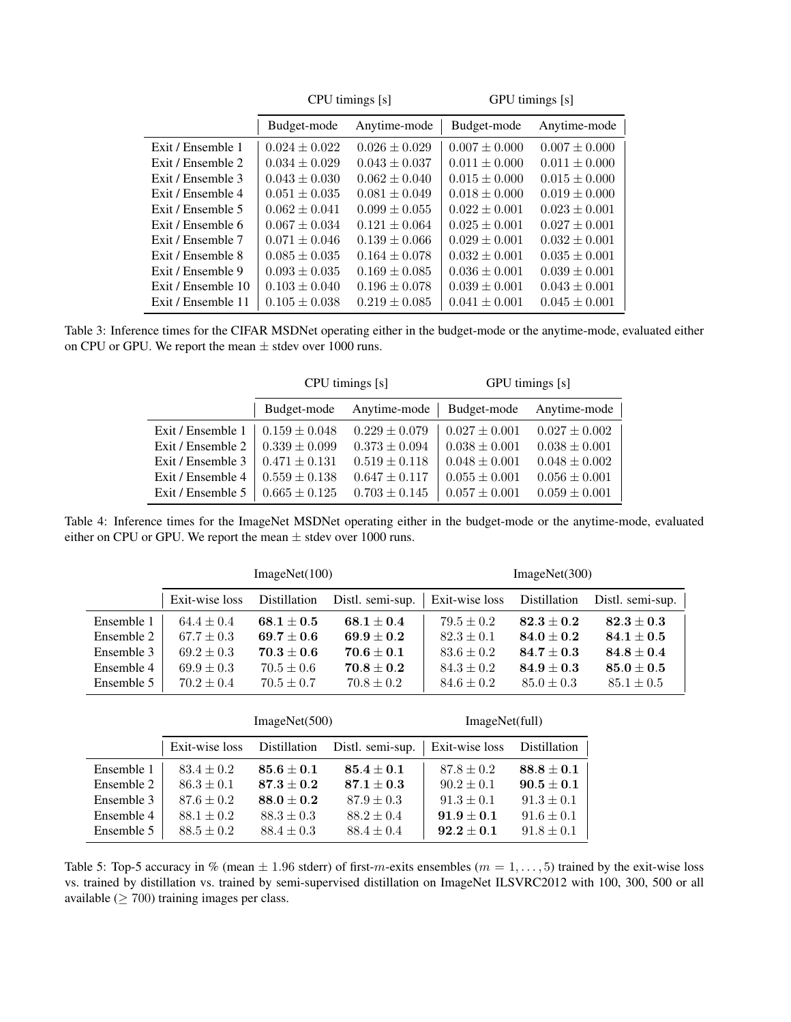<span id="page-12-0"></span>

|                    |                   | CPU timings [s]   | GPU timings [s]   |                   |  |  |
|--------------------|-------------------|-------------------|-------------------|-------------------|--|--|
|                    | Budget-mode       | Anytime-mode      | Budget-mode       | Anytime-mode      |  |  |
| Exit / Ensemble 1  | $0.024 \pm 0.022$ | $0.026 \pm 0.029$ | $0.007 \pm 0.000$ | $0.007 \pm 0.000$ |  |  |
| Exit / Ensemble 2  | $0.034 \pm 0.029$ | $0.043 \pm 0.037$ | $0.011 \pm 0.000$ | $0.011 \pm 0.000$ |  |  |
| Exit / Ensemble 3  | $0.043 \pm 0.030$ | $0.062 \pm 0.040$ | $0.015 \pm 0.000$ | $0.015 \pm 0.000$ |  |  |
| Exit / Ensemble 4  | $0.051 \pm 0.035$ | $0.081 \pm 0.049$ | $0.018 \pm 0.000$ | $0.019 \pm 0.000$ |  |  |
| Exit / Ensemble 5  | $0.062 \pm 0.041$ | $0.099 \pm 0.055$ | $0.022 \pm 0.001$ | $0.023 \pm 0.001$ |  |  |
| Exit / Ensemble 6  | $0.067 \pm 0.034$ | $0.121 \pm 0.064$ | $0.025 \pm 0.001$ | $0.027 \pm 0.001$ |  |  |
| Exit / Ensemble 7  | $0.071 \pm 0.046$ | $0.139 \pm 0.066$ | $0.029 \pm 0.001$ | $0.032 \pm 0.001$ |  |  |
| Exit / Ensemble 8  | $0.085 \pm 0.035$ | $0.164 \pm 0.078$ | $0.032 \pm 0.001$ | $0.035 \pm 0.001$ |  |  |
| Exit / Ensemble 9  | $0.093 \pm 0.035$ | $0.169 \pm 0.085$ | $0.036 \pm 0.001$ | $0.039 \pm 0.001$ |  |  |
| Exit / Ensemble 10 | $0.103 \pm 0.040$ | $0.196 \pm 0.078$ | $0.039 \pm 0.001$ | $0.043 \pm 0.001$ |  |  |
| Exit / Ensemble 11 | $0.105 \pm 0.038$ | $0.219 \pm 0.085$ | $0.041 \pm 0.001$ | $0.045 \pm 0.001$ |  |  |

<span id="page-12-1"></span>Table 3: Inference times for the CIFAR MSDNet operating either in the budget-mode or the anytime-mode, evaluated either on CPU or GPU. We report the mean  $\pm$  stdev over 1000 runs.

|                   |                             | CPU timings [s]   | GPU timings [s]   |                   |  |
|-------------------|-----------------------------|-------------------|-------------------|-------------------|--|
|                   | Anytime-mode<br>Budget-mode |                   | Budget-mode       | Anytime-mode      |  |
| Exit / Ensemble 1 | $0.159 \pm 0.048$           | $0.229 \pm 0.079$ | $0.027 \pm 0.001$ | $0.027 \pm 0.002$ |  |
| Exit / Ensemble 2 | $0.339 \pm 0.099$           | $0.373 \pm 0.094$ | $0.038 \pm 0.001$ | $0.038 \pm 0.001$ |  |
| Exit / Ensemble 3 | $0.471 \pm 0.131$           | $0.519 \pm 0.118$ | $0.048 \pm 0.001$ | $0.048 \pm 0.002$ |  |
| Exit / Ensemble 4 | $0.559 \pm 0.138$           | $0.647 \pm 0.117$ | $0.055 \pm 0.001$ | $0.056 \pm 0.001$ |  |
| Exit / Ensemble 5 | $0.665 \pm 0.125$           | $0.703 \pm 0.145$ | $0.057 \pm 0.001$ | $0.059 \pm 0.001$ |  |

Table 4: Inference times for the ImageNet MSDNet operating either in the budget-mode or the anytime-mode, evaluated either on CPU or GPU. We report the mean  $\pm$  stdev over 1000 runs.

<span id="page-12-2"></span>

|            |                | ImageNet(100)  |                  | ImageNet(300)               |                |                  |  |
|------------|----------------|----------------|------------------|-----------------------------|----------------|------------------|--|
|            | Exit-wise loss | Distillation   | Distl. semi-sup. | Exit-wise loss Distillation |                | Distl. semi-sup. |  |
| Ensemble 1 | $64.4 \pm 0.4$ | $68.1 \pm 0.5$ | $68.1 \pm 0.4$   | $79.5 \pm 0.2$              | $82.3 \pm 0.2$ | $82.3 \pm 0.3$   |  |
| Ensemble 2 | $67.7 \pm 0.3$ | $69.7 \pm 0.6$ | $69.9 \pm 0.2$   | $82.3 \pm 0.1$              | $84.0 \pm 0.2$ | $84.1 \pm 0.5$   |  |
| Ensemble 3 | $69.2 \pm 0.3$ | $70.3 \pm 0.6$ | $70.6 \pm 0.1$   | $83.6 \pm 0.2$              | $84.7 \pm 0.3$ | $84.8 \pm 0.4$   |  |
| Ensemble 4 | $69.9 \pm 0.3$ | $70.5 \pm 0.6$ | $70.8 \pm 0.2$   | $84.3 \pm 0.2$              | $84.9 \pm 0.3$ | $85.0 \pm 0.5$   |  |
| Ensemble 5 | $70.2 \pm 0.4$ | $70.5 \pm 0.7$ | $70.8 \pm 0.2$   | $84.6 \pm 0.2$              | $85.0 \pm 0.3$ | $85.1 \pm 0.5$   |  |

|            |                | ImageNet(500)  | ImageNet(full) |                |                |
|------------|----------------|----------------|----------------|----------------|----------------|
|            | Exit-wise loss | Distillation   | Exit-wise loss | Distillation   |                |
| Ensemble 1 | $83.4 \pm 0.2$ | $85.6 \pm 0.1$ | $85.4 \pm 0.1$ | $87.8 \pm 0.2$ | $88.8 \pm 0.1$ |
| Ensemble 2 | $86.3 \pm 0.1$ | $87.3 \pm 0.2$ | $87.1 \pm 0.3$ | $90.2 \pm 0.1$ | $90.5 \pm 0.1$ |
| Ensemble 3 | $87.6 \pm 0.2$ | $88.0 \pm 0.2$ | $87.9 \pm 0.3$ | $91.3 \pm 0.1$ | $91.3 \pm 0.1$ |
| Ensemble 4 | $88.1 \pm 0.2$ | $88.3 \pm 0.3$ | $88.2 \pm 0.4$ | $91.9 \pm 0.1$ | $91.6 \pm 0.1$ |
| Ensemble 5 | $88.5 \pm 0.2$ | $88.4 \pm 0.3$ | $88.4 \pm 0.4$ | $92.2 \pm 0.1$ | $91.8 \pm 0.1$ |

Table 5: Top-5 accuracy in % (mean  $\pm$  1.96 stderr) of first-m-exits ensembles ( $m = 1, \ldots, 5$ ) trained by the exit-wise loss vs. trained by distillation vs. trained by semi-supervised distillation on ImageNet ILSVRC2012 with 100, 300, 500 or all available ( $\geq 700$ ) training images per class.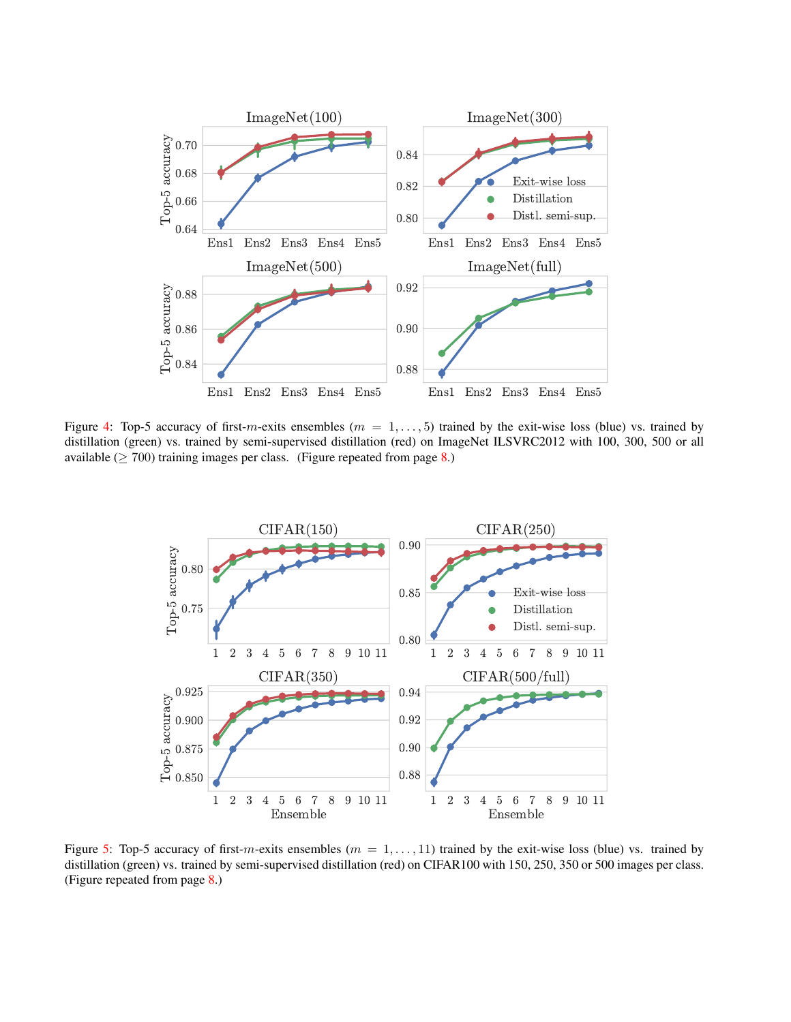

Figure [4:](#page--1-3) Top-5 accuracy of first-m-exits ensembles ( $m = 1, \ldots, 5$ ) trained by the exit-wise loss (blue) vs. trained by distillation (green) vs. trained by semi-supervised distillation (red) on ImageNet ILSVRC2012 with 100, 300, 500 or all available ( $\geq 700$ ) training images per class. (Figure repeated from page [8.](#page--1-3))



Figure [5:](#page--1-4) Top-5 accuracy of first-m-exits ensembles ( $m = 1, \ldots, 11$ ) trained by the exit-wise loss (blue) vs. trained by distillation (green) vs. trained by semi-supervised distillation (red) on CIFAR100 with 150, 250, 350 or 500 images per class. (Figure repeated from page [8.](#page--1-4))